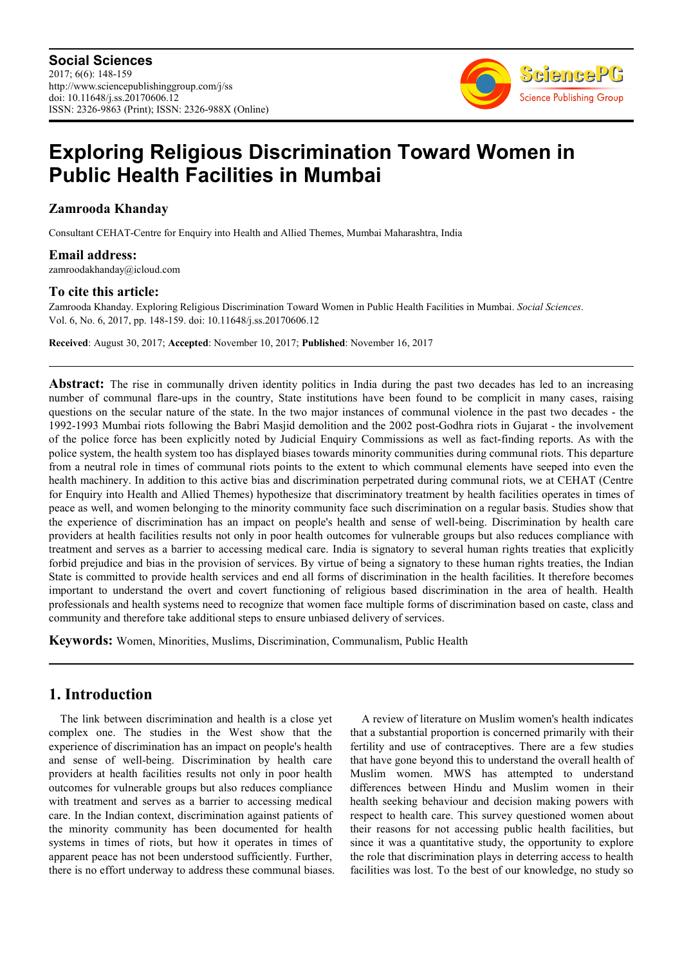

# **Exploring Religious Discrimination Toward Women in Public Health Facilities in Mumbai**

### **Zamrooda Khanday**

Consultant CEHAT-Centre for Enquiry into Health and Allied Themes, Mumbai Maharashtra, India

### **Email address:**

zamroodakhanday@icloud.com

### **To cite this article:**

Zamrooda Khanday. Exploring Religious Discrimination Toward Women in Public Health Facilities in Mumbai. *Social Sciences*. Vol. 6, No. 6, 2017, pp. 148-159. doi: 10.11648/j.ss.20170606.12

**Received**: August 30, 2017; **Accepted**: November 10, 2017; **Published**: November 16, 2017

**Abstract:** The rise in communally driven identity politics in India during the past two decades has led to an increasing number of communal flare-ups in the country, State institutions have been found to be complicit in many cases, raising questions on the secular nature of the state. In the two major instances of communal violence in the past two decades - the 1992-1993 Mumbai riots following the Babri Masjid demolition and the 2002 post-Godhra riots in Gujarat - the involvement of the police force has been explicitly noted by Judicial Enquiry Commissions as well as fact-finding reports. As with the police system, the health system too has displayed biases towards minority communities during communal riots. This departure from a neutral role in times of communal riots points to the extent to which communal elements have seeped into even the health machinery. In addition to this active bias and discrimination perpetrated during communal riots, we at CEHAT (Centre for Enquiry into Health and Allied Themes) hypothesize that discriminatory treatment by health facilities operates in times of peace as well, and women belonging to the minority community face such discrimination on a regular basis. Studies show that the experience of discrimination has an impact on people's health and sense of well-being. Discrimination by health care providers at health facilities results not only in poor health outcomes for vulnerable groups but also reduces compliance with treatment and serves as a barrier to accessing medical care. India is signatory to several human rights treaties that explicitly forbid prejudice and bias in the provision of services. By virtue of being a signatory to these human rights treaties, the Indian State is committed to provide health services and end all forms of discrimination in the health facilities. It therefore becomes important to understand the overt and covert functioning of religious based discrimination in the area of health. Health professionals and health systems need to recognize that women face multiple forms of discrimination based on caste, class and community and therefore take additional steps to ensure unbiased delivery of services.

**Keywords:** Women, Minorities, Muslims, Discrimination, Communalism, Public Health

# **1. Introduction**

The link between discrimination and health is a close yet complex one. The studies in the West show that the experience of discrimination has an impact on people's health and sense of well-being. Discrimination by health care providers at health facilities results not only in poor health outcomes for vulnerable groups but also reduces compliance with treatment and serves as a barrier to accessing medical care. In the Indian context, discrimination against patients of the minority community has been documented for health systems in times of riots, but how it operates in times of apparent peace has not been understood sufficiently. Further, there is no effort underway to address these communal biases.

A review of literature on Muslim women's health indicates that a substantial proportion is concerned primarily with their fertility and use of contraceptives. There are a few studies that have gone beyond this to understand the overall health of Muslim women. MWS has attempted to understand differences between Hindu and Muslim women in their health seeking behaviour and decision making powers with respect to health care. This survey questioned women about their reasons for not accessing public health facilities, but since it was a quantitative study, the opportunity to explore the role that discrimination plays in deterring access to health facilities was lost. To the best of our knowledge, no study so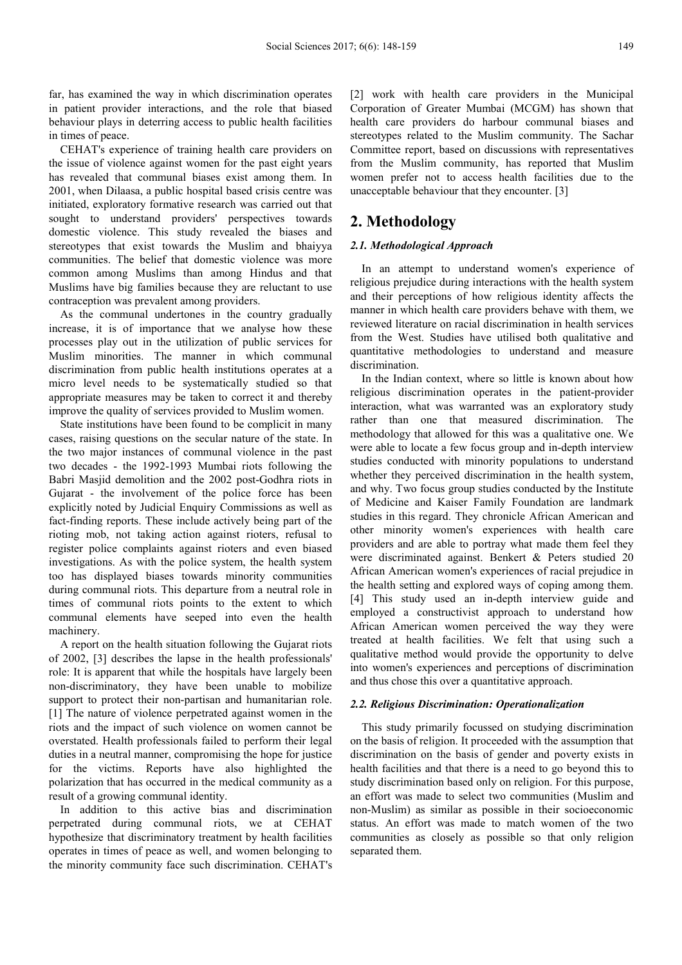far, has examined the way in which discrimination operates in patient provider interactions, and the role that biased behaviour plays in deterring access to public health facilities in times of peace.

CEHAT's experience of training health care providers on the issue of violence against women for the past eight years has revealed that communal biases exist among them. In 2001, when Dilaasa, a public hospital based crisis centre was initiated, exploratory formative research was carried out that sought to understand providers' perspectives towards domestic violence. This study revealed the biases and stereotypes that exist towards the Muslim and bhaiyya communities. The belief that domestic violence was more common among Muslims than among Hindus and that Muslims have big families because they are reluctant to use contraception was prevalent among providers.

As the communal undertones in the country gradually increase, it is of importance that we analyse how these processes play out in the utilization of public services for Muslim minorities. The manner in which communal discrimination from public health institutions operates at a micro level needs to be systematically studied so that appropriate measures may be taken to correct it and thereby improve the quality of services provided to Muslim women.

State institutions have been found to be complicit in many cases, raising questions on the secular nature of the state. In the two major instances of communal violence in the past two decades - the 1992-1993 Mumbai riots following the Babri Masjid demolition and the 2002 post-Godhra riots in Gujarat - the involvement of the police force has been explicitly noted by Judicial Enquiry Commissions as well as fact-finding reports. These include actively being part of the rioting mob, not taking action against rioters, refusal to register police complaints against rioters and even biased investigations. As with the police system, the health system too has displayed biases towards minority communities during communal riots. This departure from a neutral role in times of communal riots points to the extent to which communal elements have seeped into even the health machinery.

A report on the health situation following the Gujarat riots of 2002, [3] describes the lapse in the health professionals' role: It is apparent that while the hospitals have largely been non-discriminatory, they have been unable to mobilize support to protect their non-partisan and humanitarian role. [1] The nature of violence perpetrated against women in the riots and the impact of such violence on women cannot be overstated. Health professionals failed to perform their legal duties in a neutral manner, compromising the hope for justice for the victims. Reports have also highlighted the polarization that has occurred in the medical community as a result of a growing communal identity.

In addition to this active bias and discrimination perpetrated during communal riots, we at CEHAT hypothesize that discriminatory treatment by health facilities operates in times of peace as well, and women belonging to the minority community face such discrimination. CEHAT's [2] work with health care providers in the Municipal Corporation of Greater Mumbai (MCGM) has shown that health care providers do harbour communal biases and stereotypes related to the Muslim community. The Sachar Committee report, based on discussions with representatives from the Muslim community, has reported that Muslim women prefer not to access health facilities due to the unacceptable behaviour that they encounter. [3]

### **2. Methodology**

#### *2.1. Methodological Approach*

In an attempt to understand women's experience of religious prejudice during interactions with the health system and their perceptions of how religious identity affects the manner in which health care providers behave with them, we reviewed literature on racial discrimination in health services from the West. Studies have utilised both qualitative and quantitative methodologies to understand and measure discrimination.

In the Indian context, where so little is known about how religious discrimination operates in the patient-provider interaction, what was warranted was an exploratory study rather than one that measured discrimination. The methodology that allowed for this was a qualitative one. We were able to locate a few focus group and in-depth interview studies conducted with minority populations to understand whether they perceived discrimination in the health system, and why. Two focus group studies conducted by the Institute of Medicine and Kaiser Family Foundation are landmark studies in this regard. They chronicle African American and other minority women's experiences with health care providers and are able to portray what made them feel they were discriminated against. Benkert & Peters studied 20 African American women's experiences of racial prejudice in the health setting and explored ways of coping among them. [4] This study used an in-depth interview guide and employed a constructivist approach to understand how African American women perceived the way they were treated at health facilities. We felt that using such a qualitative method would provide the opportunity to delve into women's experiences and perceptions of discrimination and thus chose this over a quantitative approach.

#### *2.2. Religious Discrimination: Operationalization*

This study primarily focussed on studying discrimination on the basis of religion. It proceeded with the assumption that discrimination on the basis of gender and poverty exists in health facilities and that there is a need to go beyond this to study discrimination based only on religion. For this purpose, an effort was made to select two communities (Muslim and non-Muslim) as similar as possible in their socioeconomic status. An effort was made to match women of the two communities as closely as possible so that only religion separated them.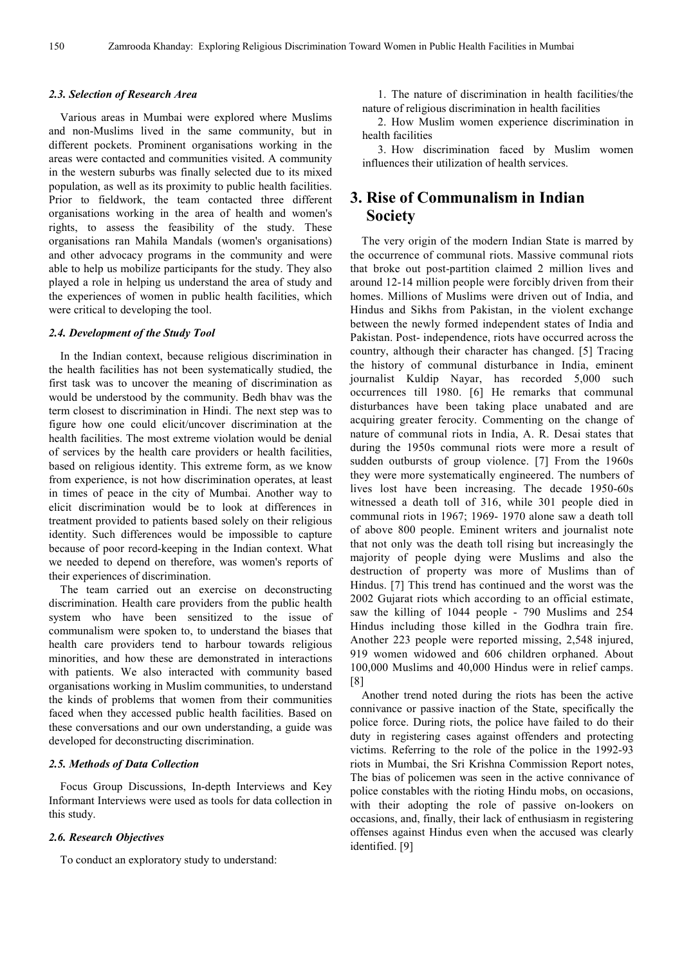#### *2.3. Selection of Research Area*

Various areas in Mumbai were explored where Muslims and non-Muslims lived in the same community, but in different pockets. Prominent organisations working in the areas were contacted and communities visited. A community in the western suburbs was finally selected due to its mixed population, as well as its proximity to public health facilities. Prior to fieldwork, the team contacted three different organisations working in the area of health and women's rights, to assess the feasibility of the study. These organisations ran Mahila Mandals (women's organisations) and other advocacy programs in the community and were able to help us mobilize participants for the study. They also played a role in helping us understand the area of study and the experiences of women in public health facilities, which were critical to developing the tool.

#### *2.4. Development of the Study Tool*

In the Indian context, because religious discrimination in the health facilities has not been systematically studied, the first task was to uncover the meaning of discrimination as would be understood by the community. Bedh bhav was the term closest to discrimination in Hindi. The next step was to figure how one could elicit/uncover discrimination at the health facilities. The most extreme violation would be denial of services by the health care providers or health facilities, based on religious identity. This extreme form, as we know from experience, is not how discrimination operates, at least in times of peace in the city of Mumbai. Another way to elicit discrimination would be to look at differences in treatment provided to patients based solely on their religious identity. Such differences would be impossible to capture because of poor record-keeping in the Indian context. What we needed to depend on therefore, was women's reports of their experiences of discrimination.

The team carried out an exercise on deconstructing discrimination. Health care providers from the public health system who have been sensitized to the issue of communalism were spoken to, to understand the biases that health care providers tend to harbour towards religious minorities, and how these are demonstrated in interactions with patients. We also interacted with community based organisations working in Muslim communities, to understand the kinds of problems that women from their communities faced when they accessed public health facilities. Based on these conversations and our own understanding, a guide was developed for deconstructing discrimination.

#### *2.5. Methods of Data Collection*

Focus Group Discussions, In-depth Interviews and Key Informant Interviews were used as tools for data collection in this study.

#### *2.6. Research Objectives*

To conduct an exploratory study to understand:

1. The nature of discrimination in health facilities/the nature of religious discrimination in health facilities

2. How Muslim women experience discrimination in health facilities

3. How discrimination faced by Muslim women influences their utilization of health services.

## **3. Rise of Communalism in Indian Society**

The very origin of the modern Indian State is marred by the occurrence of communal riots. Massive communal riots that broke out post-partition claimed 2 million lives and around 12-14 million people were forcibly driven from their homes. Millions of Muslims were driven out of India, and Hindus and Sikhs from Pakistan, in the violent exchange between the newly formed independent states of India and Pakistan. Post- independence, riots have occurred across the country, although their character has changed. [5] Tracing the history of communal disturbance in India, eminent journalist Kuldip Nayar, has recorded 5,000 such occurrences till 1980. [6] He remarks that communal disturbances have been taking place unabated and are acquiring greater ferocity. Commenting on the change of nature of communal riots in India, A. R. Desai states that during the 1950s communal riots were more a result of sudden outbursts of group violence. [7] From the 1960s they were more systematically engineered. The numbers of lives lost have been increasing. The decade 1950-60s witnessed a death toll of 316, while 301 people died in communal riots in 1967; 1969- 1970 alone saw a death toll of above 800 people. Eminent writers and journalist note that not only was the death toll rising but increasingly the majority of people dying were Muslims and also the destruction of property was more of Muslims than of Hindus. [7] This trend has continued and the worst was the 2002 Gujarat riots which according to an official estimate, saw the killing of 1044 people - 790 Muslims and 254 Hindus including those killed in the Godhra train fire. Another 223 people were reported missing, 2,548 injured, 919 women widowed and 606 children orphaned. About 100,000 Muslims and 40,000 Hindus were in relief camps. [8]

Another trend noted during the riots has been the active connivance or passive inaction of the State, specifically the police force. During riots, the police have failed to do their duty in registering cases against offenders and protecting victims. Referring to the role of the police in the 1992-93 riots in Mumbai, the Sri Krishna Commission Report notes, The bias of policemen was seen in the active connivance of police constables with the rioting Hindu mobs, on occasions, with their adopting the role of passive on-lookers on occasions, and, finally, their lack of enthusiasm in registering offenses against Hindus even when the accused was clearly identified. [9]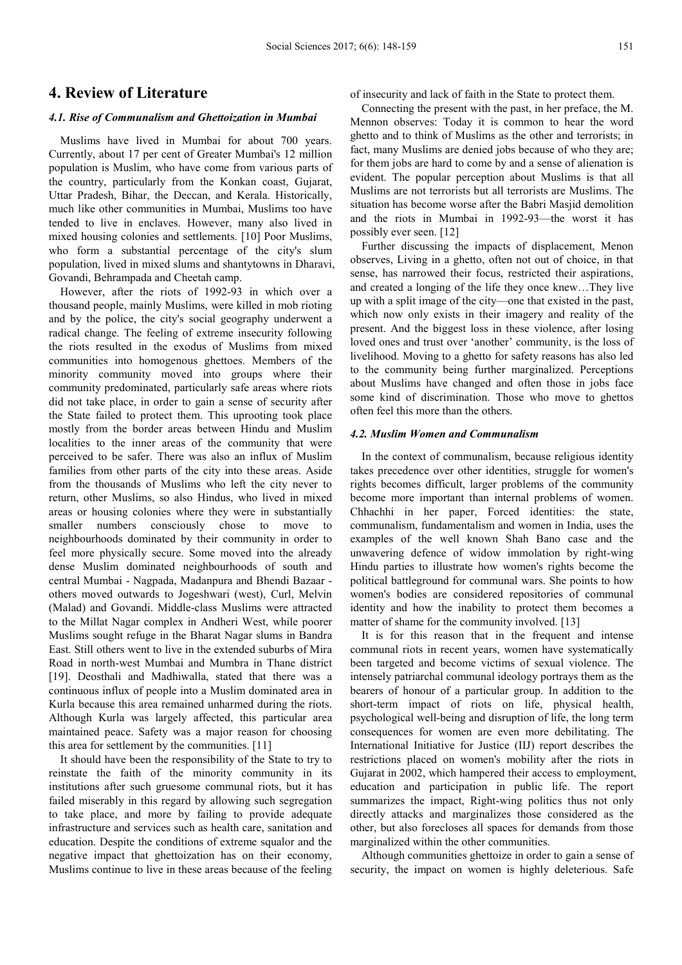## **4. Review of Literature**

#### *4.1. Rise of Communalism and Ghettoization in Mumbai*

Muslims have lived in Mumbai for about 700 years. Currently, about 17 per cent of Greater Mumbai's 12 million population is Muslim, who have come from various parts of the country, particularly from the Konkan coast, Gujarat, Uttar Pradesh, Bihar, the Deccan, and Kerala. Historically, much like other communities in Mumbai, Muslims too have tended to live in enclaves. However, many also lived in mixed housing colonies and settlements. [10] Poor Muslims, who form a substantial percentage of the city's slum population, lived in mixed slums and shantytowns in Dharavi, Govandi, Behrampada and Cheetah camp.

However, after the riots of 1992-93 in which over a thousand people, mainly Muslims, were killed in mob rioting and by the police, the city's social geography underwent a radical change. The feeling of extreme insecurity following the riots resulted in the exodus of Muslims from mixed communities into homogenous ghettoes. Members of the minority community moved into groups where their community predominated, particularly safe areas where riots did not take place, in order to gain a sense of security after the State failed to protect them. This uprooting took place mostly from the border areas between Hindu and Muslim localities to the inner areas of the community that were perceived to be safer. There was also an influx of Muslim families from other parts of the city into these areas. Aside from the thousands of Muslims who left the city never to return, other Muslims, so also Hindus, who lived in mixed areas or housing colonies where they were in substantially smaller numbers consciously chose to move to neighbourhoods dominated by their community in order to feel more physically secure. Some moved into the already dense Muslim dominated neighbourhoods of south and central Mumbai - Nagpada, Madanpura and Bhendi Bazaar others moved outwards to Jogeshwari (west), Curl, Melvin (Malad) and Govandi. Middle-class Muslims were attracted to the Millat Nagar complex in Andheri West, while poorer Muslims sought refuge in the Bharat Nagar slums in Bandra East. Still others went to live in the extended suburbs of Mira Road in north-west Mumbai and Mumbra in Thane district [19]. Deosthali and Madhiwalla, stated that there was a continuous influx of people into a Muslim dominated area in Kurla because this area remained unharmed during the riots. Although Kurla was largely affected, this particular area maintained peace. Safety was a major reason for choosing this area for settlement by the communities. [11]

It should have been the responsibility of the State to try to reinstate the faith of the minority community in its institutions after such gruesome communal riots, but it has failed miserably in this regard by allowing such segregation to take place, and more by failing to provide adequate infrastructure and services such as health care, sanitation and education. Despite the conditions of extreme squalor and the negative impact that ghettoization has on their economy, Muslims continue to live in these areas because of the feeling

of insecurity and lack of faith in the State to protect them.

Connecting the present with the past, in her preface, the M. Mennon observes: Today it is common to hear the word ghetto and to think of Muslims as the other and terrorists; in fact, many Muslims are denied jobs because of who they are; for them jobs are hard to come by and a sense of alienation is evident. The popular perception about Muslims is that all Muslims are not terrorists but all terrorists are Muslims. The situation has become worse after the Babri Masjid demolition and the riots in Mumbai in 1992-93—the worst it has possibly ever seen. [12]

Further discussing the impacts of displacement, Menon observes, Living in a ghetto, often not out of choice, in that sense, has narrowed their focus, restricted their aspirations, and created a longing of the life they once knew…They live up with a split image of the city—one that existed in the past, which now only exists in their imagery and reality of the present. And the biggest loss in these violence, after losing loved ones and trust over 'another' community, is the loss of livelihood. Moving to a ghetto for safety reasons has also led to the community being further marginalized. Perceptions about Muslims have changed and often those in jobs face some kind of discrimination. Those who move to ghettos often feel this more than the others.

#### *4.2. Muslim Women and Communalism*

In the context of communalism, because religious identity takes precedence over other identities, struggle for women's rights becomes difficult, larger problems of the community become more important than internal problems of women. Chhachhi in her paper, Forced identities: the state, communalism, fundamentalism and women in India, uses the examples of the well known Shah Bano case and the unwavering defence of widow immolation by right-wing Hindu parties to illustrate how women's rights become the political battleground for communal wars. She points to how women's bodies are considered repositories of communal identity and how the inability to protect them becomes a matter of shame for the community involved. [13]

It is for this reason that in the frequent and intense communal riots in recent years, women have systematically been targeted and become victims of sexual violence. The intensely patriarchal communal ideology portrays them as the bearers of honour of a particular group. In addition to the short-term impact of riots on life, physical health, psychological well-being and disruption of life, the long term consequences for women are even more debilitating. The International Initiative for Justice (IIJ) report describes the restrictions placed on women's mobility after the riots in Gujarat in 2002, which hampered their access to employment, education and participation in public life. The report summarizes the impact, Right-wing politics thus not only directly attacks and marginalizes those considered as the other, but also forecloses all spaces for demands from those marginalized within the other communities.

Although communities ghettoize in order to gain a sense of security, the impact on women is highly deleterious. Safe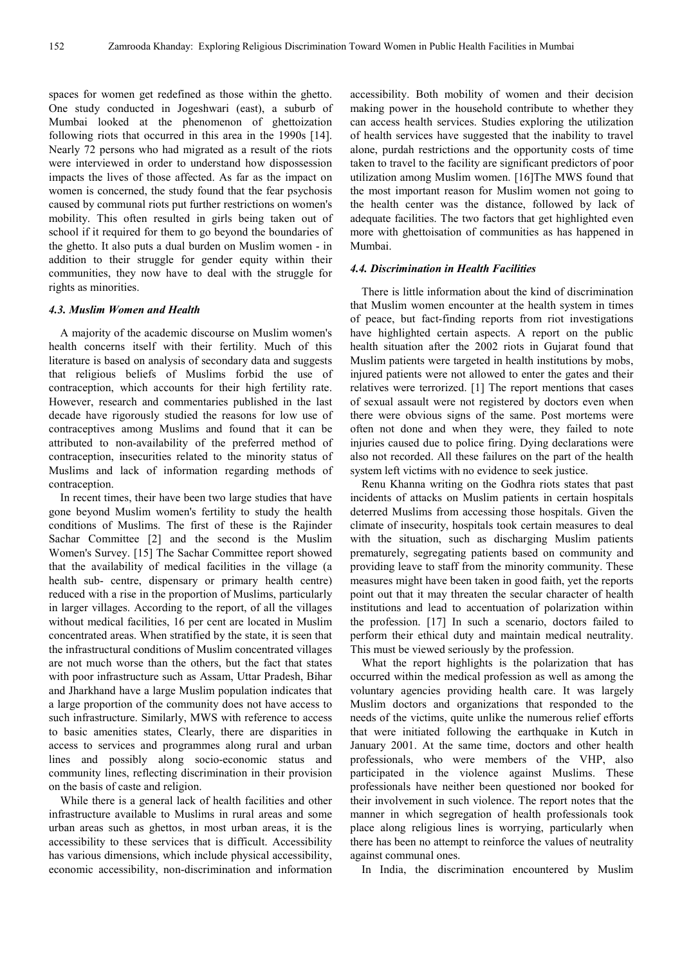spaces for women get redefined as those within the ghetto. One study conducted in Jogeshwari (east), a suburb of Mumbai looked at the phenomenon of ghettoization following riots that occurred in this area in the 1990s [14]. Nearly 72 persons who had migrated as a result of the riots were interviewed in order to understand how dispossession impacts the lives of those affected. As far as the impact on women is concerned, the study found that the fear psychosis caused by communal riots put further restrictions on women's mobility. This often resulted in girls being taken out of school if it required for them to go beyond the boundaries of the ghetto. It also puts a dual burden on Muslim women - in addition to their struggle for gender equity within their communities, they now have to deal with the struggle for rights as minorities.

#### *4.3. Muslim Women and Health*

A majority of the academic discourse on Muslim women's health concerns itself with their fertility. Much of this literature is based on analysis of secondary data and suggests that religious beliefs of Muslims forbid the use of contraception, which accounts for their high fertility rate. However, research and commentaries published in the last decade have rigorously studied the reasons for low use of contraceptives among Muslims and found that it can be attributed to non-availability of the preferred method of contraception, insecurities related to the minority status of Muslims and lack of information regarding methods of contraception.

In recent times, their have been two large studies that have gone beyond Muslim women's fertility to study the health conditions of Muslims. The first of these is the Rajinder Sachar Committee [2] and the second is the Muslim Women's Survey. [15] The Sachar Committee report showed that the availability of medical facilities in the village (a health sub- centre, dispensary or primary health centre) reduced with a rise in the proportion of Muslims, particularly in larger villages. According to the report, of all the villages without medical facilities, 16 per cent are located in Muslim concentrated areas. When stratified by the state, it is seen that the infrastructural conditions of Muslim concentrated villages are not much worse than the others, but the fact that states with poor infrastructure such as Assam, Uttar Pradesh, Bihar and Jharkhand have a large Muslim population indicates that a large proportion of the community does not have access to such infrastructure. Similarly, MWS with reference to access to basic amenities states, Clearly, there are disparities in access to services and programmes along rural and urban lines and possibly along socio-economic status and community lines, reflecting discrimination in their provision on the basis of caste and religion.

While there is a general lack of health facilities and other infrastructure available to Muslims in rural areas and some urban areas such as ghettos, in most urban areas, it is the accessibility to these services that is difficult. Accessibility has various dimensions, which include physical accessibility, economic accessibility, non-discrimination and information

accessibility. Both mobility of women and their decision making power in the household contribute to whether they can access health services. Studies exploring the utilization of health services have suggested that the inability to travel alone, purdah restrictions and the opportunity costs of time taken to travel to the facility are significant predictors of poor utilization among Muslim women. [16]The MWS found that the most important reason for Muslim women not going to the health center was the distance, followed by lack of adequate facilities. The two factors that get highlighted even more with ghettoisation of communities as has happened in Mumbai.

#### *4.4. Discrimination in Health Facilities*

There is little information about the kind of discrimination that Muslim women encounter at the health system in times of peace, but fact-finding reports from riot investigations have highlighted certain aspects. A report on the public health situation after the 2002 riots in Gujarat found that Muslim patients were targeted in health institutions by mobs, injured patients were not allowed to enter the gates and their relatives were terrorized. [1] The report mentions that cases of sexual assault were not registered by doctors even when there were obvious signs of the same. Post mortems were often not done and when they were, they failed to note injuries caused due to police firing. Dying declarations were also not recorded. All these failures on the part of the health system left victims with no evidence to seek justice.

Renu Khanna writing on the Godhra riots states that past incidents of attacks on Muslim patients in certain hospitals deterred Muslims from accessing those hospitals. Given the climate of insecurity, hospitals took certain measures to deal with the situation, such as discharging Muslim patients prematurely, segregating patients based on community and providing leave to staff from the minority community. These measures might have been taken in good faith, yet the reports point out that it may threaten the secular character of health institutions and lead to accentuation of polarization within the profession. [17] In such a scenario, doctors failed to perform their ethical duty and maintain medical neutrality. This must be viewed seriously by the profession.

What the report highlights is the polarization that has occurred within the medical profession as well as among the voluntary agencies providing health care. It was largely Muslim doctors and organizations that responded to the needs of the victims, quite unlike the numerous relief efforts that were initiated following the earthquake in Kutch in January 2001. At the same time, doctors and other health professionals, who were members of the VHP, also participated in the violence against Muslims. These professionals have neither been questioned nor booked for their involvement in such violence. The report notes that the manner in which segregation of health professionals took place along religious lines is worrying, particularly when there has been no attempt to reinforce the values of neutrality against communal ones.

In India, the discrimination encountered by Muslim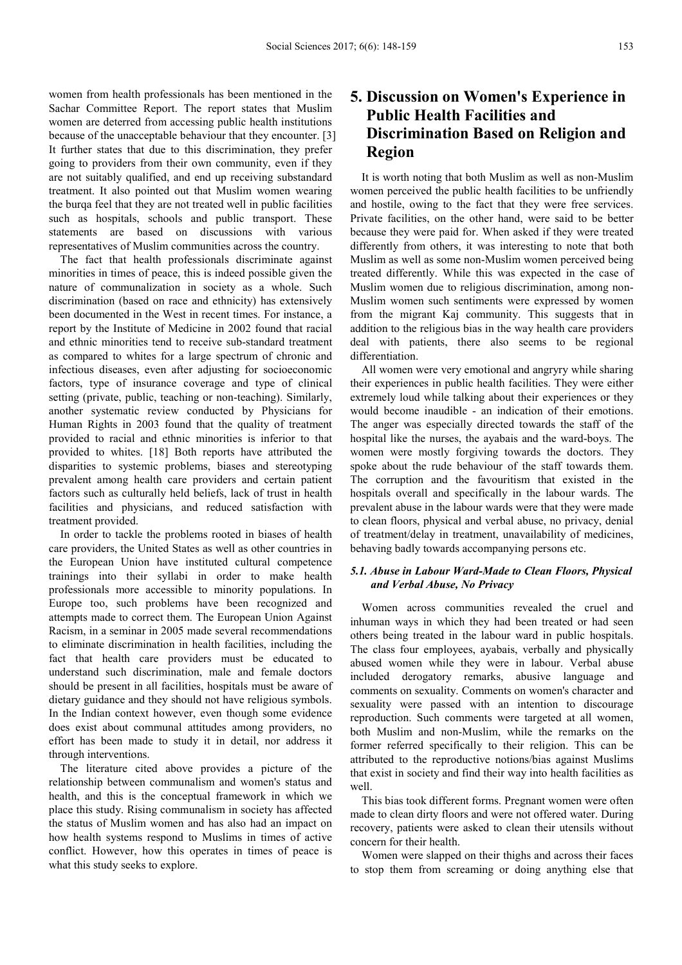women from health professionals has been mentioned in the Sachar Committee Report. The report states that Muslim women are deterred from accessing public health institutions because of the unacceptable behaviour that they encounter. [3] It further states that due to this discrimination, they prefer going to providers from their own community, even if they are not suitably qualified, and end up receiving substandard treatment. It also pointed out that Muslim women wearing the burqa feel that they are not treated well in public facilities such as hospitals, schools and public transport. These statements are based on discussions with various representatives of Muslim communities across the country.

The fact that health professionals discriminate against minorities in times of peace, this is indeed possible given the nature of communalization in society as a whole. Such discrimination (based on race and ethnicity) has extensively been documented in the West in recent times. For instance, a report by the Institute of Medicine in 2002 found that racial and ethnic minorities tend to receive sub-standard treatment as compared to whites for a large spectrum of chronic and infectious diseases, even after adjusting for socioeconomic factors, type of insurance coverage and type of clinical setting (private, public, teaching or non-teaching). Similarly, another systematic review conducted by Physicians for Human Rights in 2003 found that the quality of treatment provided to racial and ethnic minorities is inferior to that provided to whites. [18] Both reports have attributed the disparities to systemic problems, biases and stereotyping prevalent among health care providers and certain patient factors such as culturally held beliefs, lack of trust in health facilities and physicians, and reduced satisfaction with treatment provided.

In order to tackle the problems rooted in biases of health care providers, the United States as well as other countries in the European Union have instituted cultural competence trainings into their syllabi in order to make health professionals more accessible to minority populations. In Europe too, such problems have been recognized and attempts made to correct them. The European Union Against Racism, in a seminar in 2005 made several recommendations to eliminate discrimination in health facilities, including the fact that health care providers must be educated to understand such discrimination, male and female doctors should be present in all facilities, hospitals must be aware of dietary guidance and they should not have religious symbols. In the Indian context however, even though some evidence does exist about communal attitudes among providers, no effort has been made to study it in detail, nor address it through interventions.

The literature cited above provides a picture of the relationship between communalism and women's status and health, and this is the conceptual framework in which we place this study. Rising communalism in society has affected the status of Muslim women and has also had an impact on how health systems respond to Muslims in times of active conflict. However, how this operates in times of peace is what this study seeks to explore.

# **5. Discussion on Women's Experience in Public Health Facilities and Discrimination Based on Religion and Region**

It is worth noting that both Muslim as well as non-Muslim women perceived the public health facilities to be unfriendly and hostile, owing to the fact that they were free services. Private facilities, on the other hand, were said to be better because they were paid for. When asked if they were treated differently from others, it was interesting to note that both Muslim as well as some non-Muslim women perceived being treated differently. While this was expected in the case of Muslim women due to religious discrimination, among non-Muslim women such sentiments were expressed by women from the migrant Kaj community. This suggests that in addition to the religious bias in the way health care providers deal with patients, there also seems to be regional differentiation.

All women were very emotional and angryry while sharing their experiences in public health facilities. They were either extremely loud while talking about their experiences or they would become inaudible - an indication of their emotions. The anger was especially directed towards the staff of the hospital like the nurses, the ayabais and the ward-boys. The women were mostly forgiving towards the doctors. They spoke about the rude behaviour of the staff towards them. The corruption and the favouritism that existed in the hospitals overall and specifically in the labour wards. The prevalent abuse in the labour wards were that they were made to clean floors, physical and verbal abuse, no privacy, denial of treatment/delay in treatment, unavailability of medicines, behaving badly towards accompanying persons etc.

### *5.1. Abuse in Labour Ward-Made to Clean Floors, Physical and Verbal Abuse, No Privacy*

Women across communities revealed the cruel and inhuman ways in which they had been treated or had seen others being treated in the labour ward in public hospitals. The class four employees, ayabais, verbally and physically abused women while they were in labour. Verbal abuse included derogatory remarks, abusive language and comments on sexuality. Comments on women's character and sexuality were passed with an intention to discourage reproduction. Such comments were targeted at all women, both Muslim and non-Muslim, while the remarks on the former referred specifically to their religion. This can be attributed to the reproductive notions/bias against Muslims that exist in society and find their way into health facilities as well.

This bias took different forms. Pregnant women were often made to clean dirty floors and were not offered water. During recovery, patients were asked to clean their utensils without concern for their health.

Women were slapped on their thighs and across their faces to stop them from screaming or doing anything else that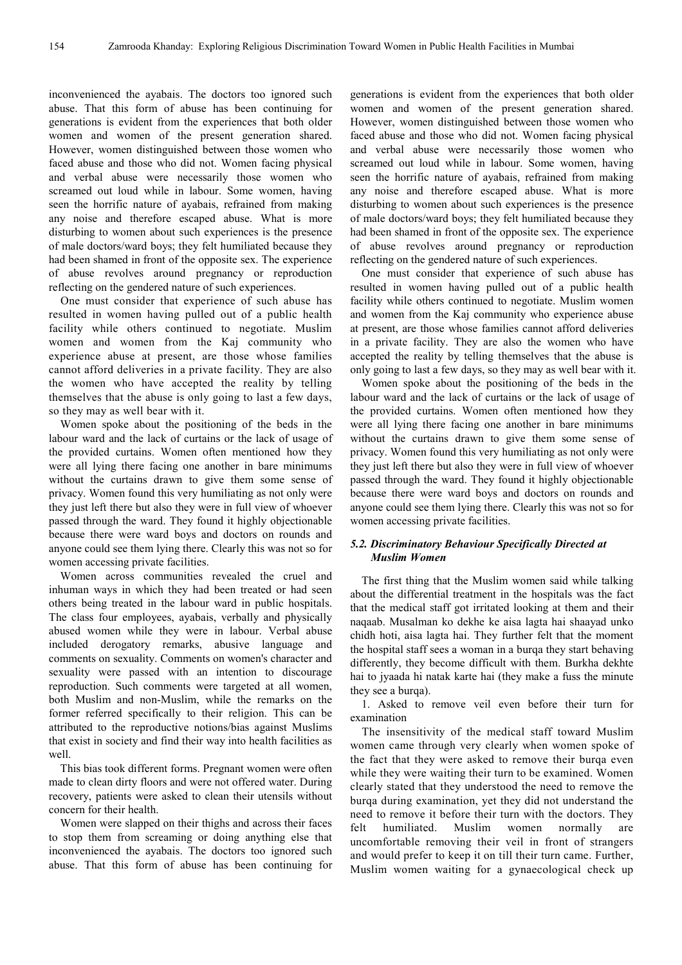inconvenienced the ayabais. The doctors too ignored such abuse. That this form of abuse has been continuing for generations is evident from the experiences that both older women and women of the present generation shared. However, women distinguished between those women who faced abuse and those who did not. Women facing physical and verbal abuse were necessarily those women who screamed out loud while in labour. Some women, having seen the horrific nature of ayabais, refrained from making any noise and therefore escaped abuse. What is more disturbing to women about such experiences is the presence of male doctors/ward boys; they felt humiliated because they had been shamed in front of the opposite sex. The experience of abuse revolves around pregnancy or reproduction reflecting on the gendered nature of such experiences.

One must consider that experience of such abuse has resulted in women having pulled out of a public health facility while others continued to negotiate. Muslim women and women from the Kaj community who experience abuse at present, are those whose families cannot afford deliveries in a private facility. They are also the women who have accepted the reality by telling themselves that the abuse is only going to last a few days, so they may as well bear with it.

Women spoke about the positioning of the beds in the labour ward and the lack of curtains or the lack of usage of the provided curtains. Women often mentioned how they were all lying there facing one another in bare minimums without the curtains drawn to give them some sense of privacy. Women found this very humiliating as not only were they just left there but also they were in full view of whoever passed through the ward. They found it highly objectionable because there were ward boys and doctors on rounds and anyone could see them lying there. Clearly this was not so for women accessing private facilities.

Women across communities revealed the cruel and inhuman ways in which they had been treated or had seen others being treated in the labour ward in public hospitals. The class four employees, ayabais, verbally and physically abused women while they were in labour. Verbal abuse included derogatory remarks, abusive language and comments on sexuality. Comments on women's character and sexuality were passed with an intention to discourage reproduction. Such comments were targeted at all women, both Muslim and non-Muslim, while the remarks on the former referred specifically to their religion. This can be attributed to the reproductive notions/bias against Muslims that exist in society and find their way into health facilities as well.

This bias took different forms. Pregnant women were often made to clean dirty floors and were not offered water. During recovery, patients were asked to clean their utensils without concern for their health.

Women were slapped on their thighs and across their faces to stop them from screaming or doing anything else that inconvenienced the ayabais. The doctors too ignored such abuse. That this form of abuse has been continuing for generations is evident from the experiences that both older women and women of the present generation shared. However, women distinguished between those women who faced abuse and those who did not. Women facing physical and verbal abuse were necessarily those women who screamed out loud while in labour. Some women, having seen the horrific nature of ayabais, refrained from making any noise and therefore escaped abuse. What is more disturbing to women about such experiences is the presence of male doctors/ward boys; they felt humiliated because they had been shamed in front of the opposite sex. The experience of abuse revolves around pregnancy or reproduction reflecting on the gendered nature of such experiences.

One must consider that experience of such abuse has resulted in women having pulled out of a public health facility while others continued to negotiate. Muslim women and women from the Kaj community who experience abuse at present, are those whose families cannot afford deliveries in a private facility. They are also the women who have accepted the reality by telling themselves that the abuse is only going to last a few days, so they may as well bear with it.

Women spoke about the positioning of the beds in the labour ward and the lack of curtains or the lack of usage of the provided curtains. Women often mentioned how they were all lying there facing one another in bare minimums without the curtains drawn to give them some sense of privacy. Women found this very humiliating as not only were they just left there but also they were in full view of whoever passed through the ward. They found it highly objectionable because there were ward boys and doctors on rounds and anyone could see them lying there. Clearly this was not so for women accessing private facilities.

#### *5.2. Discriminatory Behaviour Specifically Directed at Muslim Women*

The first thing that the Muslim women said while talking about the differential treatment in the hospitals was the fact that the medical staff got irritated looking at them and their naqaab. Musalman ko dekhe ke aisa lagta hai shaayad unko chidh hoti, aisa lagta hai. They further felt that the moment the hospital staff sees a woman in a burqa they start behaving differently, they become difficult with them. Burkha dekhte hai to jyaada hi natak karte hai (they make a fuss the minute they see a burqa).

1. Asked to remove veil even before their turn for examination

The insensitivity of the medical staff toward Muslim women came through very clearly when women spoke of the fact that they were asked to remove their burqa even while they were waiting their turn to be examined. Women clearly stated that they understood the need to remove the burqa during examination, yet they did not understand the need to remove it before their turn with the doctors. They felt humiliated. Muslim women normally are uncomfortable removing their veil in front of strangers and would prefer to keep it on till their turn came. Further, Muslim women waiting for a gynaecological check up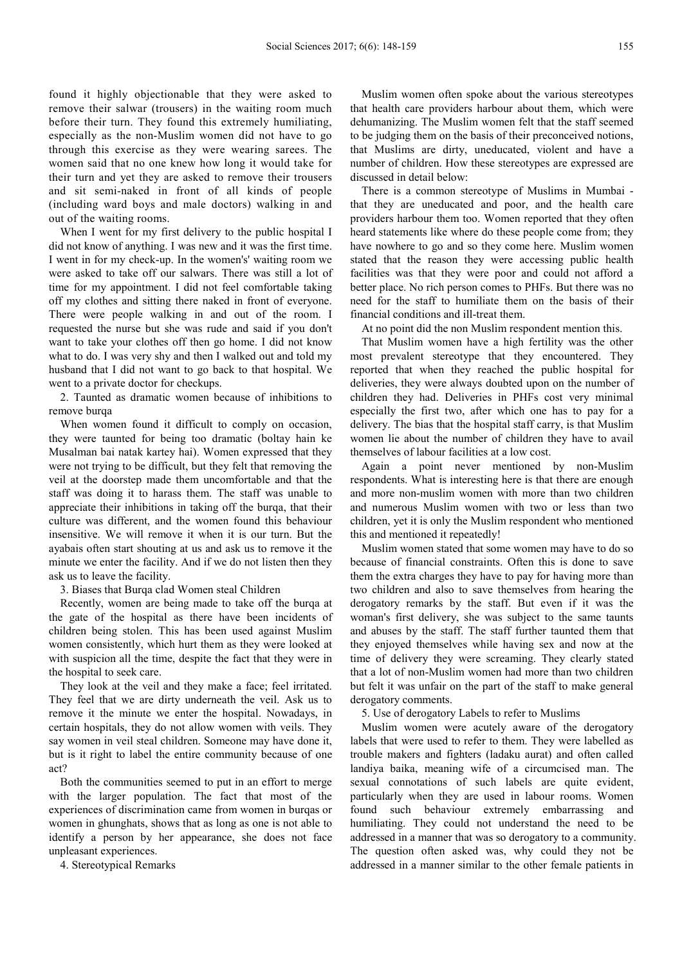found it highly objectionable that they were asked to remove their salwar (trousers) in the waiting room much before their turn. They found this extremely humiliating, especially as the non-Muslim women did not have to go through this exercise as they were wearing sarees. The women said that no one knew how long it would take for their turn and yet they are asked to remove their trousers and sit semi-naked in front of all kinds of people (including ward boys and male doctors) walking in and out of the waiting rooms.

When I went for my first delivery to the public hospital I did not know of anything. I was new and it was the first time. I went in for my check-up. In the women's' waiting room we were asked to take off our salwars. There was still a lot of time for my appointment. I did not feel comfortable taking off my clothes and sitting there naked in front of everyone. There were people walking in and out of the room. I requested the nurse but she was rude and said if you don't want to take your clothes off then go home. I did not know what to do. I was very shy and then I walked out and told my husband that I did not want to go back to that hospital. We went to a private doctor for checkups.

2. Taunted as dramatic women because of inhibitions to remove burqa

When women found it difficult to comply on occasion, they were taunted for being too dramatic (boltay hain ke Musalman bai natak kartey hai). Women expressed that they were not trying to be difficult, but they felt that removing the veil at the doorstep made them uncomfortable and that the staff was doing it to harass them. The staff was unable to appreciate their inhibitions in taking off the burqa, that their culture was different, and the women found this behaviour insensitive. We will remove it when it is our turn. But the ayabais often start shouting at us and ask us to remove it the minute we enter the facility. And if we do not listen then they ask us to leave the facility.

3. Biases that Burqa clad Women steal Children

Recently, women are being made to take off the burqa at the gate of the hospital as there have been incidents of children being stolen. This has been used against Muslim women consistently, which hurt them as they were looked at with suspicion all the time, despite the fact that they were in the hospital to seek care.

They look at the veil and they make a face; feel irritated. They feel that we are dirty underneath the veil. Ask us to remove it the minute we enter the hospital. Nowadays, in certain hospitals, they do not allow women with veils. They say women in veil steal children. Someone may have done it, but is it right to label the entire community because of one act?

Both the communities seemed to put in an effort to merge with the larger population. The fact that most of the experiences of discrimination came from women in burqas or women in ghunghats, shows that as long as one is not able to identify a person by her appearance, she does not face unpleasant experiences.

4. Stereotypical Remarks

Muslim women often spoke about the various stereotypes that health care providers harbour about them, which were dehumanizing. The Muslim women felt that the staff seemed to be judging them on the basis of their preconceived notions, that Muslims are dirty, uneducated, violent and have a number of children. How these stereotypes are expressed are discussed in detail below:

There is a common stereotype of Muslims in Mumbai that they are uneducated and poor, and the health care providers harbour them too. Women reported that they often heard statements like where do these people come from; they have nowhere to go and so they come here. Muslim women stated that the reason they were accessing public health facilities was that they were poor and could not afford a better place. No rich person comes to PHFs. But there was no need for the staff to humiliate them on the basis of their financial conditions and ill-treat them.

At no point did the non Muslim respondent mention this.

That Muslim women have a high fertility was the other most prevalent stereotype that they encountered. They reported that when they reached the public hospital for deliveries, they were always doubted upon on the number of children they had. Deliveries in PHFs cost very minimal especially the first two, after which one has to pay for a delivery. The bias that the hospital staff carry, is that Muslim women lie about the number of children they have to avail themselves of labour facilities at a low cost.

Again a point never mentioned by non-Muslim respondents. What is interesting here is that there are enough and more non-muslim women with more than two children and numerous Muslim women with two or less than two children, yet it is only the Muslim respondent who mentioned this and mentioned it repeatedly!

Muslim women stated that some women may have to do so because of financial constraints. Often this is done to save them the extra charges they have to pay for having more than two children and also to save themselves from hearing the derogatory remarks by the staff. But even if it was the woman's first delivery, she was subject to the same taunts and abuses by the staff. The staff further taunted them that they enjoyed themselves while having sex and now at the time of delivery they were screaming. They clearly stated that a lot of non-Muslim women had more than two children but felt it was unfair on the part of the staff to make general derogatory comments.

5. Use of derogatory Labels to refer to Muslims

Muslim women were acutely aware of the derogatory labels that were used to refer to them. They were labelled as trouble makers and fighters (ladaku aurat) and often called landiya baika, meaning wife of a circumcised man. The sexual connotations of such labels are quite evident, particularly when they are used in labour rooms. Women found such behaviour extremely embarrassing and humiliating. They could not understand the need to be addressed in a manner that was so derogatory to a community. The question often asked was, why could they not be addressed in a manner similar to the other female patients in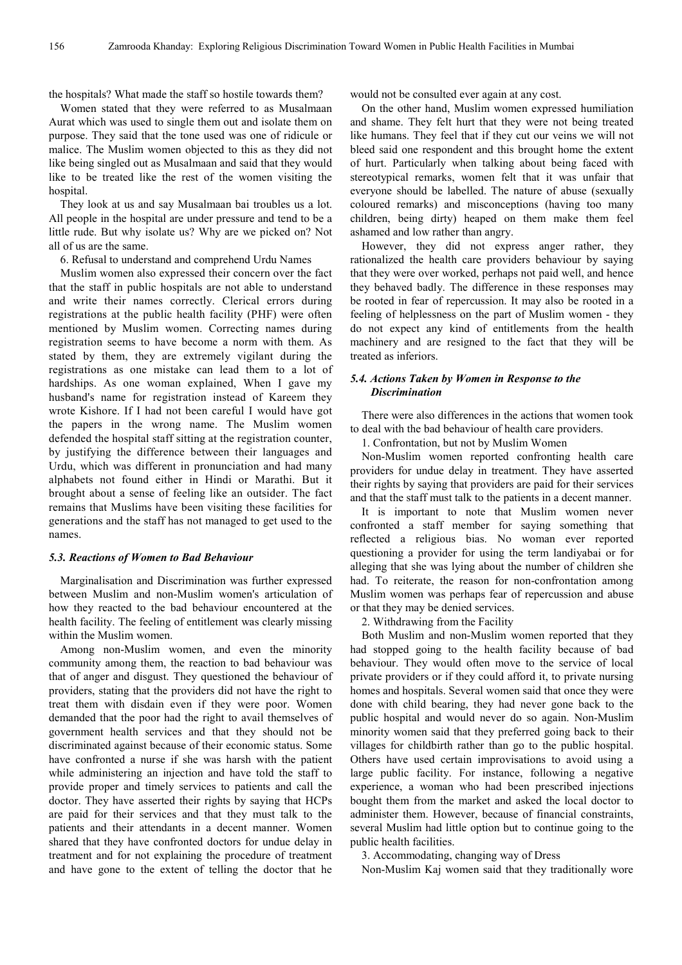the hospitals? What made the staff so hostile towards them?

Women stated that they were referred to as Musalmaan Aurat which was used to single them out and isolate them on purpose. They said that the tone used was one of ridicule or malice. The Muslim women objected to this as they did not like being singled out as Musalmaan and said that they would like to be treated like the rest of the women visiting the hospital.

They look at us and say Musalmaan bai troubles us a lot. All people in the hospital are under pressure and tend to be a little rude. But why isolate us? Why are we picked on? Not all of us are the same.

6. Refusal to understand and comprehend Urdu Names

Muslim women also expressed their concern over the fact that the staff in public hospitals are not able to understand and write their names correctly. Clerical errors during registrations at the public health facility (PHF) were often mentioned by Muslim women. Correcting names during registration seems to have become a norm with them. As stated by them, they are extremely vigilant during the registrations as one mistake can lead them to a lot of hardships. As one woman explained, When I gave my husband's name for registration instead of Kareem they wrote Kishore. If I had not been careful I would have got the papers in the wrong name. The Muslim women defended the hospital staff sitting at the registration counter, by justifying the difference between their languages and Urdu, which was different in pronunciation and had many alphabets not found either in Hindi or Marathi. But it brought about a sense of feeling like an outsider. The fact remains that Muslims have been visiting these facilities for generations and the staff has not managed to get used to the names.

#### *5.3. Reactions of Women to Bad Behaviour*

Marginalisation and Discrimination was further expressed between Muslim and non-Muslim women's articulation of how they reacted to the bad behaviour encountered at the health facility. The feeling of entitlement was clearly missing within the Muslim women.

Among non-Muslim women, and even the minority community among them, the reaction to bad behaviour was that of anger and disgust. They questioned the behaviour of providers, stating that the providers did not have the right to treat them with disdain even if they were poor. Women demanded that the poor had the right to avail themselves of government health services and that they should not be discriminated against because of their economic status. Some have confronted a nurse if she was harsh with the patient while administering an injection and have told the staff to provide proper and timely services to patients and call the doctor. They have asserted their rights by saying that HCPs are paid for their services and that they must talk to the patients and their attendants in a decent manner. Women shared that they have confronted doctors for undue delay in treatment and for not explaining the procedure of treatment and have gone to the extent of telling the doctor that he

would not be consulted ever again at any cost.

On the other hand, Muslim women expressed humiliation and shame. They felt hurt that they were not being treated like humans. They feel that if they cut our veins we will not bleed said one respondent and this brought home the extent of hurt. Particularly when talking about being faced with stereotypical remarks, women felt that it was unfair that everyone should be labelled. The nature of abuse (sexually coloured remarks) and misconceptions (having too many children, being dirty) heaped on them make them feel ashamed and low rather than angry.

However, they did not express anger rather, they rationalized the health care providers behaviour by saying that they were over worked, perhaps not paid well, and hence they behaved badly. The difference in these responses may be rooted in fear of repercussion. It may also be rooted in a feeling of helplessness on the part of Muslim women - they do not expect any kind of entitlements from the health machinery and are resigned to the fact that they will be treated as inferiors.

#### *5.4. Actions Taken by Women in Response to the Discrimination*

There were also differences in the actions that women took to deal with the bad behaviour of health care providers.

1. Confrontation, but not by Muslim Women

Non-Muslim women reported confronting health care providers for undue delay in treatment. They have asserted their rights by saying that providers are paid for their services and that the staff must talk to the patients in a decent manner.

It is important to note that Muslim women never confronted a staff member for saying something that reflected a religious bias. No woman ever reported questioning a provider for using the term landiyabai or for alleging that she was lying about the number of children she had. To reiterate, the reason for non-confrontation among Muslim women was perhaps fear of repercussion and abuse or that they may be denied services.

2. Withdrawing from the Facility

Both Muslim and non-Muslim women reported that they had stopped going to the health facility because of bad behaviour. They would often move to the service of local private providers or if they could afford it, to private nursing homes and hospitals. Several women said that once they were done with child bearing, they had never gone back to the public hospital and would never do so again. Non-Muslim minority women said that they preferred going back to their villages for childbirth rather than go to the public hospital. Others have used certain improvisations to avoid using a large public facility. For instance, following a negative experience, a woman who had been prescribed injections bought them from the market and asked the local doctor to administer them. However, because of financial constraints, several Muslim had little option but to continue going to the public health facilities.

3. Accommodating, changing way of Dress

Non-Muslim Kaj women said that they traditionally wore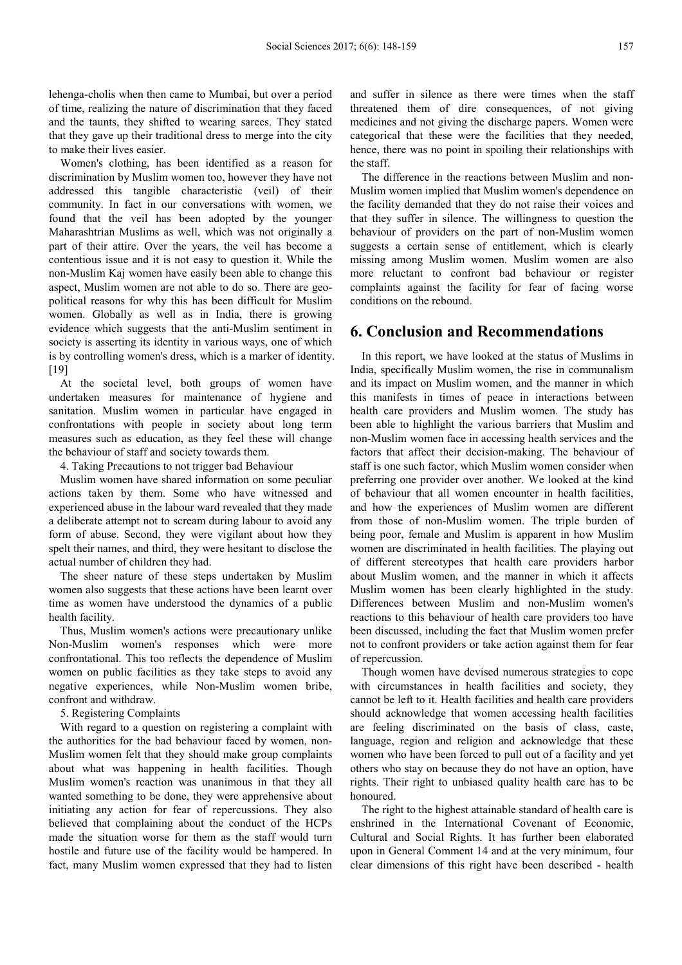lehenga-cholis when then came to Mumbai, but over a period of time, realizing the nature of discrimination that they faced and the taunts, they shifted to wearing sarees. They stated that they gave up their traditional dress to merge into the city to make their lives easier.

Women's clothing, has been identified as a reason for discrimination by Muslim women too, however they have not addressed this tangible characteristic (veil) of their community. In fact in our conversations with women, we found that the veil has been adopted by the younger Maharashtrian Muslims as well, which was not originally a part of their attire. Over the years, the veil has become a contentious issue and it is not easy to question it. While the non-Muslim Kaj women have easily been able to change this aspect, Muslim women are not able to do so. There are geopolitical reasons for why this has been difficult for Muslim women. Globally as well as in India, there is growing evidence which suggests that the anti-Muslim sentiment in society is asserting its identity in various ways, one of which is by controlling women's dress, which is a marker of identity. [19]

At the societal level, both groups of women have undertaken measures for maintenance of hygiene and sanitation. Muslim women in particular have engaged in confrontations with people in society about long term measures such as education, as they feel these will change the behaviour of staff and society towards them.

4. Taking Precautions to not trigger bad Behaviour

Muslim women have shared information on some peculiar actions taken by them. Some who have witnessed and experienced abuse in the labour ward revealed that they made a deliberate attempt not to scream during labour to avoid any form of abuse. Second, they were vigilant about how they spelt their names, and third, they were hesitant to disclose the actual number of children they had.

The sheer nature of these steps undertaken by Muslim women also suggests that these actions have been learnt over time as women have understood the dynamics of a public health facility.

Thus, Muslim women's actions were precautionary unlike Non-Muslim women's responses which were more confrontational. This too reflects the dependence of Muslim women on public facilities as they take steps to avoid any negative experiences, while Non-Muslim women bribe, confront and withdraw.

5. Registering Complaints

With regard to a question on registering a complaint with the authorities for the bad behaviour faced by women, non-Muslim women felt that they should make group complaints about what was happening in health facilities. Though Muslim women's reaction was unanimous in that they all wanted something to be done, they were apprehensive about initiating any action for fear of repercussions. They also believed that complaining about the conduct of the HCPs made the situation worse for them as the staff would turn hostile and future use of the facility would be hampered. In fact, many Muslim women expressed that they had to listen

and suffer in silence as there were times when the staff threatened them of dire consequences, of not giving medicines and not giving the discharge papers. Women were categorical that these were the facilities that they needed, hence, there was no point in spoiling their relationships with the staff.

The difference in the reactions between Muslim and non-Muslim women implied that Muslim women's dependence on the facility demanded that they do not raise their voices and that they suffer in silence. The willingness to question the behaviour of providers on the part of non-Muslim women suggests a certain sense of entitlement, which is clearly missing among Muslim women. Muslim women are also more reluctant to confront bad behaviour or register complaints against the facility for fear of facing worse conditions on the rebound.

### **6. Conclusion and Recommendations**

In this report, we have looked at the status of Muslims in India, specifically Muslim women, the rise in communalism and its impact on Muslim women, and the manner in which this manifests in times of peace in interactions between health care providers and Muslim women. The study has been able to highlight the various barriers that Muslim and non-Muslim women face in accessing health services and the factors that affect their decision-making. The behaviour of staff is one such factor, which Muslim women consider when preferring one provider over another. We looked at the kind of behaviour that all women encounter in health facilities, and how the experiences of Muslim women are different from those of non-Muslim women. The triple burden of being poor, female and Muslim is apparent in how Muslim women are discriminated in health facilities. The playing out of different stereotypes that health care providers harbor about Muslim women, and the manner in which it affects Muslim women has been clearly highlighted in the study. Differences between Muslim and non-Muslim women's reactions to this behaviour of health care providers too have been discussed, including the fact that Muslim women prefer not to confront providers or take action against them for fear of repercussion.

Though women have devised numerous strategies to cope with circumstances in health facilities and society, they cannot be left to it. Health facilities and health care providers should acknowledge that women accessing health facilities are feeling discriminated on the basis of class, caste, language, region and religion and acknowledge that these women who have been forced to pull out of a facility and yet others who stay on because they do not have an option, have rights. Their right to unbiased quality health care has to be honoured.

The right to the highest attainable standard of health care is enshrined in the International Covenant of Economic, Cultural and Social Rights. It has further been elaborated upon in General Comment 14 and at the very minimum, four clear dimensions of this right have been described - health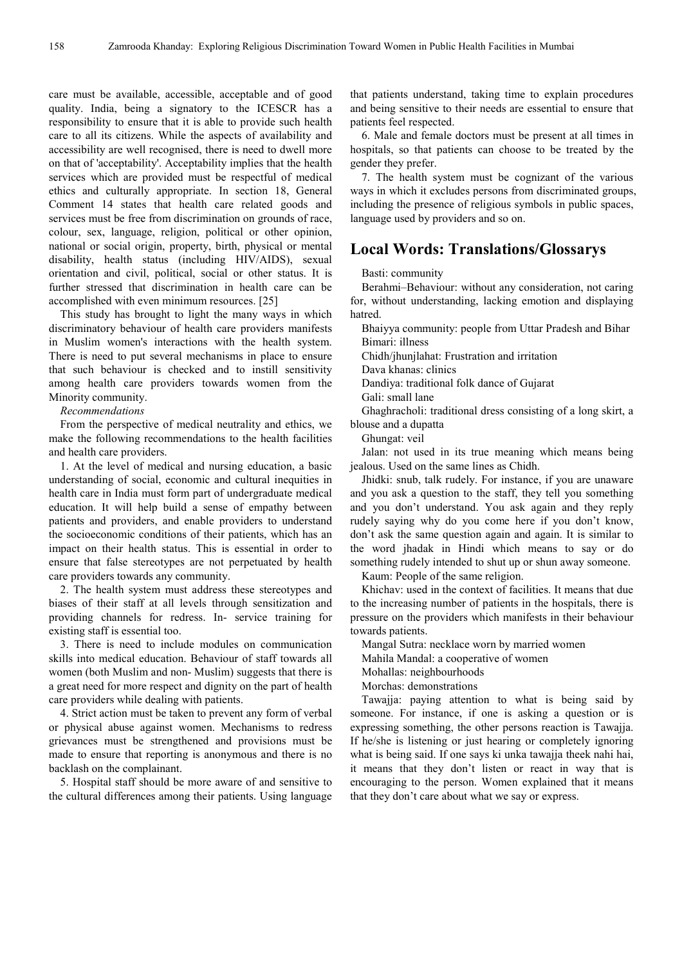care must be available, accessible, acceptable and of good quality. India, being a signatory to the ICESCR has a responsibility to ensure that it is able to provide such health care to all its citizens. While the aspects of availability and accessibility are well recognised, there is need to dwell more on that of 'acceptability'. Acceptability implies that the health services which are provided must be respectful of medical ethics and culturally appropriate. In section 18, General Comment 14 states that health care related goods and services must be free from discrimination on grounds of race, colour, sex, language, religion, political or other opinion, national or social origin, property, birth, physical or mental disability, health status (including HIV/AIDS), sexual orientation and civil, political, social or other status. It is further stressed that discrimination in health care can be accomplished with even minimum resources. [25]

This study has brought to light the many ways in which discriminatory behaviour of health care providers manifests in Muslim women's interactions with the health system. There is need to put several mechanisms in place to ensure that such behaviour is checked and to instill sensitivity among health care providers towards women from the Minority community.

#### *Recommendations*

From the perspective of medical neutrality and ethics, we make the following recommendations to the health facilities and health care providers.

1. At the level of medical and nursing education, a basic understanding of social, economic and cultural inequities in health care in India must form part of undergraduate medical education. It will help build a sense of empathy between patients and providers, and enable providers to understand the socioeconomic conditions of their patients, which has an impact on their health status. This is essential in order to ensure that false stereotypes are not perpetuated by health care providers towards any community.

2. The health system must address these stereotypes and biases of their staff at all levels through sensitization and providing channels for redress. In- service training for existing staff is essential too.

3. There is need to include modules on communication skills into medical education. Behaviour of staff towards all women (both Muslim and non- Muslim) suggests that there is a great need for more respect and dignity on the part of health care providers while dealing with patients.

4. Strict action must be taken to prevent any form of verbal or physical abuse against women. Mechanisms to redress grievances must be strengthened and provisions must be made to ensure that reporting is anonymous and there is no backlash on the complainant.

5. Hospital staff should be more aware of and sensitive to the cultural differences among their patients. Using language that patients understand, taking time to explain procedures and being sensitive to their needs are essential to ensure that patients feel respected.

6. Male and female doctors must be present at all times in hospitals, so that patients can choose to be treated by the gender they prefer.

7. The health system must be cognizant of the various ways in which it excludes persons from discriminated groups, including the presence of religious symbols in public spaces, language used by providers and so on.

### **Local Words: Translations/Glossarys**

Basti: community

Berahmi–Behaviour: without any consideration, not caring for, without understanding, lacking emotion and displaying hatred.

Bhaiyya community: people from Uttar Pradesh and Bihar Bimari: illness

Chidh/jhunjlahat: Frustration and irritation

Dava khanas: clinics

Dandiya: traditional folk dance of Gujarat

Gali: small lane

Ghaghracholi: traditional dress consisting of a long skirt, a blouse and a dupatta

Ghungat: veil

Jalan: not used in its true meaning which means being jealous. Used on the same lines as Chidh.

Jhidki: snub, talk rudely. For instance, if you are unaware and you ask a question to the staff, they tell you something and you don't understand. You ask again and they reply rudely saying why do you come here if you don't know, don't ask the same question again and again. It is similar to the word jhadak in Hindi which means to say or do something rudely intended to shut up or shun away someone.

Kaum: People of the same religion.

Khichav: used in the context of facilities. It means that due to the increasing number of patients in the hospitals, there is pressure on the providers which manifests in their behaviour towards patients.

Mangal Sutra: necklace worn by married women

Mahila Mandal: a cooperative of women

Mohallas: neighbourhoods

Morchas: demonstrations

Tawajja: paying attention to what is being said by someone. For instance, if one is asking a question or is expressing something, the other persons reaction is Tawajja. If he/she is listening or just hearing or completely ignoring what is being said. If one says ki unka tawajja theek nahi hai, it means that they don't listen or react in way that is encouraging to the person. Women explained that it means that they don't care about what we say or express.